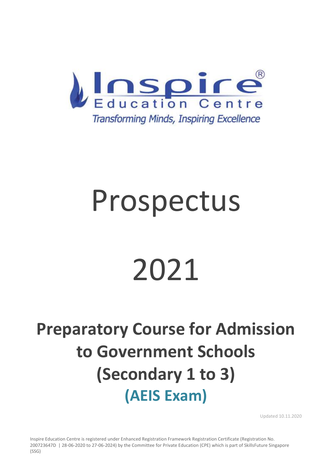

# Prospectus

# 2021

### **Preparatory Course for Admission to Government Schools (Secondary 1 to 3) (AEIS Exam)**

Updated 10.11.2020

Inspire Education Centre is registered under Enhanced Registration Framework Registration Certificate (Registration No. 200723647D | 28-06-2020 to 27-06-2024) by the Committee for Private Education (CPE) which is part of SkillsFuture Singapore (SSG)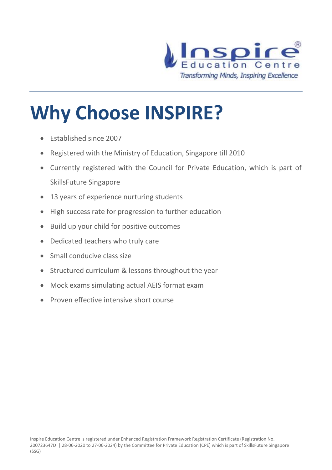

# **Why Choose INSPIRE?**

- Established since 2007
- Registered with the Ministry of Education, Singapore till 2010
- Currently registered with the Council for Private Education, which is part of SkillsFuture Singapore
- 13 years of experience nurturing students
- High success rate for progression to further education
- Build up your child for positive outcomes
- Dedicated teachers who truly care
- Small conducive class size
- Structured curriculum & lessons throughout the year
- Mock exams simulating actual AEIS format exam
- Proven effective intensive short course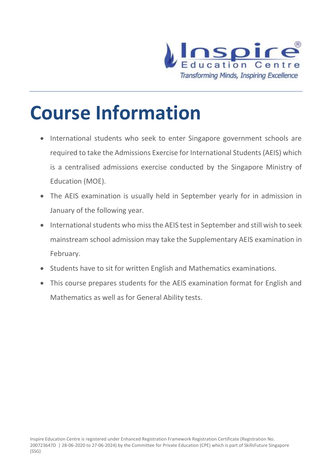

### **Course Information**

- International students who seek to enter Singapore government schools are required to take the Admissions Exercise for International Students (AEIS) which is a centralised admissions exercise conducted by the Singapore Ministry of Education (MOE).
- The AEIS examination is usually held in September yearly for in admission in January of the following year.
- International students who miss the AEIS test in September and still wish to seek mainstream school admission may take the Supplementary AEIS examination in February.
- Students have to sit for written English and Mathematics examinations.
- This course prepares students for the AEIS examination format for English and Mathematics as well as for General Ability tests.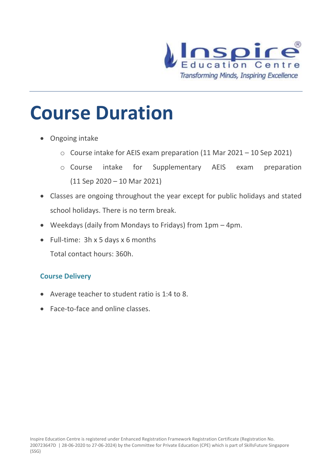

### **Course Duration**

- Ongoing intake
	- o Course intake for AEIS exam preparation (11 Mar 2021 10 Sep 2021)
	- o Course intake for Supplementary AEIS exam preparation (11 Sep 2020 – 10 Mar 2021)
- Classes are ongoing throughout the year except for public holidays and stated school holidays. There is no term break.
- Weekdays (daily from Mondays to Fridays) from 1pm 4pm.
- Full-time: 3h x 5 days x 6 months
	- Total contact hours: 360h.

#### **Course Delivery**

- Average teacher to student ratio is 1:4 to 8.
- Face-to-face and online classes.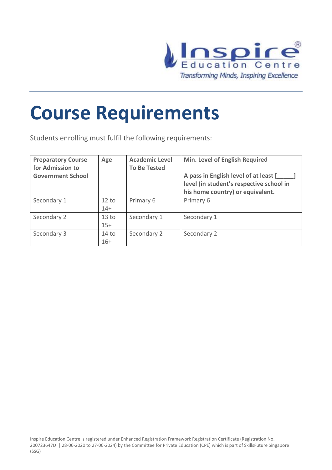

### **Course Requirements**

Students enrolling must fulfil the following requirements:

| <b>Preparatory Course</b><br>for Admission to<br><b>Government School</b> | Age              | <b>Academic Level</b><br><b>To Be Tested</b> | <b>Min. Level of English Required</b><br>A pass in English level of at least [<br>level (in student's respective school in<br>his home country) or equivalent. |
|---------------------------------------------------------------------------|------------------|----------------------------------------------|----------------------------------------------------------------------------------------------------------------------------------------------------------------|
| Secondary 1                                                               | 12 to            | Primary 6                                    | Primary 6                                                                                                                                                      |
|                                                                           | $14+$            |                                              |                                                                                                                                                                |
| Secondary 2                                                               | 13 <sub>to</sub> | Secondary 1                                  | Secondary 1                                                                                                                                                    |
|                                                                           | $15+$            |                                              |                                                                                                                                                                |
| Secondary 3                                                               | 14 <sub>to</sub> | Secondary 2                                  | Secondary 2                                                                                                                                                    |
|                                                                           | $16+$            |                                              |                                                                                                                                                                |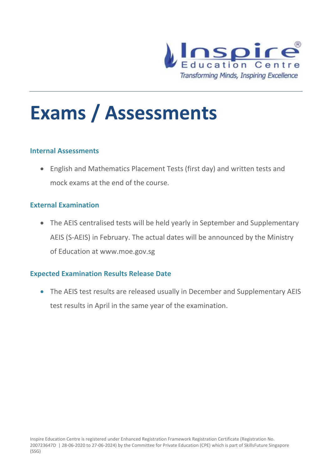

## **Exams / Assessments**

#### **Internal Assessments**

• English and Mathematics Placement Tests (first day) and written tests and mock exams at the end of the course.

#### **External Examination**

• The AEIS centralised tests will be held yearly in September and Supplementary AEIS (S-AEIS) in February. The actual dates will be announced by the Ministry of Education at www.moe.gov.sg

#### **Expected Examination Results Release Date**

• The AEIS test results are released usually in December and Supplementary AEIS test results in April in the same year of the examination.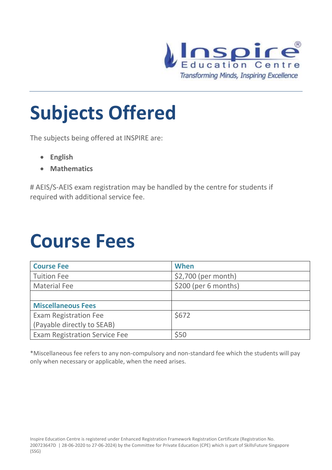

# **Subjects Offered**

The subjects being offered at INSPIRE are:

- **English**
- **Mathematics**

# AEIS/S-AEIS exam registration may be handled by the centre for students if required with additional service fee.

### **Course Fees**

| <b>Course Fee</b>                    | When                  |
|--------------------------------------|-----------------------|
| <b>Tuition Fee</b>                   | $$2,700$ (per month)  |
| <b>Material Fee</b>                  | $$200$ (per 6 months) |
|                                      |                       |
| <b>Miscellaneous Fees</b>            |                       |
| <b>Exam Registration Fee</b>         | \$672                 |
| (Payable directly to SEAB)           |                       |
| <b>Exam Registration Service Fee</b> | \$50                  |

\*Miscellaneous fee refers to any non-compulsory and non-standard fee which the students will pay only when necessary or applicable, when the need arises.